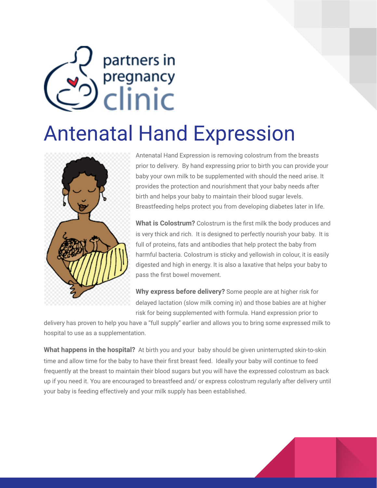## partners in pregnancy<br>Clinic

## Antenatal Hand Expression



Antenatal Hand Expression is removing colostrum from the breasts prior to delivery. By hand expressing prior to birth you can provide your baby your own milk to be supplemented with should the need arise. It provides the protection and nourishment that your baby needs after birth and helps your baby to maintain their blood sugar levels. Breastfeeding helps protect you from developing diabetes later in life.

**What is Colostrum?** Colostrum is the first milk the body produces and is very thick and rich. It is designed to perfectly nourish your baby. It is full of proteins, fats and antibodies that help protect the baby from harmful bacteria. Colostrum is sticky and yellowish in colour, it is easily digested and high in energy. It is also a laxative that helps your baby to pass the first bowel movement.

**Why express before delivery?** Some people are at higher risk for delayed lactation (slow milk coming in) and those babies are at higher risk for being supplemented with formula. Hand expression prior to

delivery has proven to help you have a "full supply" earlier and allows you to bring some expressed milk to hospital to use as a supplementation.

**What happens in the hospital?** At birth you and your baby should be given uninterrupted skin-to-skin time and allow time for the baby to have their first breast feed. Ideally your baby will continue to feed frequently at the breast to maintain their blood sugars but you will have the expressed colostrum as back up if you need it. You are encouraged to breastfeed and/ or express colostrum regularly after delivery until your baby is feeding effectively and your milk supply has been established.